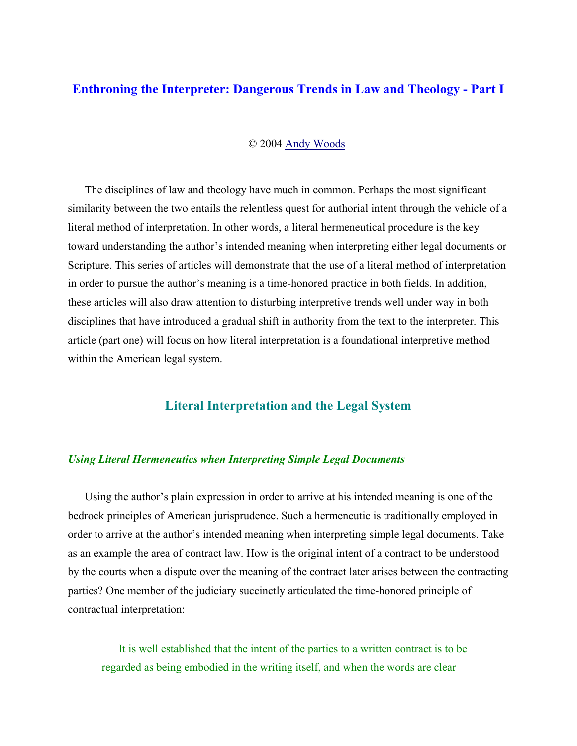# **Enthroning the Interpreter: Dangerous Trends in Law and Theology - Part I**

### © 2004 Andy Woods

The disciplines of law and theology have much in common. Perhaps the most significant similarity between the two entails the relentless quest for authorial intent through the vehicle of a literal method of interpretation. In other words, a literal hermeneutical procedure is the key toward understanding the author's intended meaning when interpreting either legal documents or Scripture. This series of articles will demonstrate that the use of a literal method of interpretation in order to pursue the author's meaning is a time-honored practice in both fields. In addition, these articles will also draw attention to disturbing interpretive trends well under way in both disciplines that have introduced a gradual shift in authority from the text to the interpreter. This article (part one) will focus on how literal interpretation is a foundational interpretive method within the American legal system.

## **Literal Interpretation and the Legal System**

#### *Using Literal Hermeneutics when Interpreting Simple Legal Documents*

Using the author's plain expression in order to arrive at his intended meaning is one of the bedrock principles of American jurisprudence. Such a hermeneutic is traditionally employed in order to arrive at the author's intended meaning when interpreting simple legal documents. Take as an example the area of contract law. How is the original intent of a contract to be understood by the courts when a dispute over the meaning of the contract later arises between the contracting parties? One member of the judiciary succinctly articulated the time-honored principle of contractual interpretation:

It is well established that the intent of the parties to a written contract is to be regarded as being embodied in the writing itself, and when the words are clear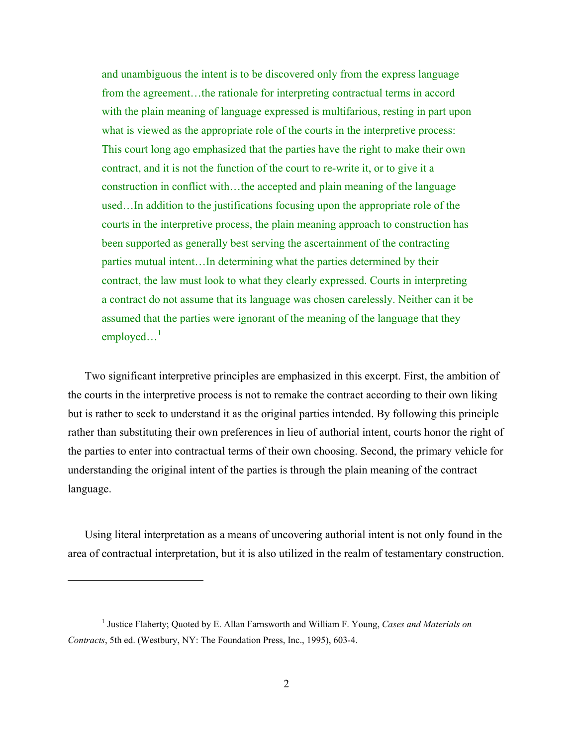and unambiguous the intent is to be discovered only from the express language from the agreement...the rationale for interpreting contractual terms in accord with the plain meaning of language expressed is multifarious, resting in part upon what is viewed as the appropriate role of the courts in the interpretive process: This court long ago emphasized that the parties have the right to make their own contract, and it is not the function of the court to re-write it, or to give it a construction in conflict with…the accepted and plain meaning of the language used…In addition to the justifications focusing upon the appropriate role of the courts in the interpretive process, the plain meaning approach to construction has been supported as generally best serving the ascertainment of the contracting parties mutual intent…In determining what the parties determined by their contract, the law must look to what they clearly expressed. Courts in interpreting a contract do not assume that its language was chosen carelessly. Neither can it be assumed that the parties were ignorant of the meaning of the language that they  $emploved...<sup>1</sup>$ 

Two significant interpretive principles are emphasized in this excerpt. First, the ambition of the courts in the interpretive process is not to remake the contract according to their own liking but is rather to seek to understand it as the original parties intended. By following this principle rather than substituting their own preferences in lieu of authorial intent, courts honor the right of the parties to enter into contractual terms of their own choosing. Second, the primary vehicle for understanding the original intent of the parties is through the plain meaning of the contract language.

Using literal interpretation as a means of uncovering authorial intent is not only found in the area of contractual interpretation, but it is also utilized in the realm of testamentary construction.

<sup>&</sup>lt;sup>1</sup> Justice Flaherty; Quoted by E. Allan Farnsworth and William F. Young, *Cases and Materials on Contracts*, 5th ed. (Westbury, NY: The Foundation Press, Inc., 1995), 603-4.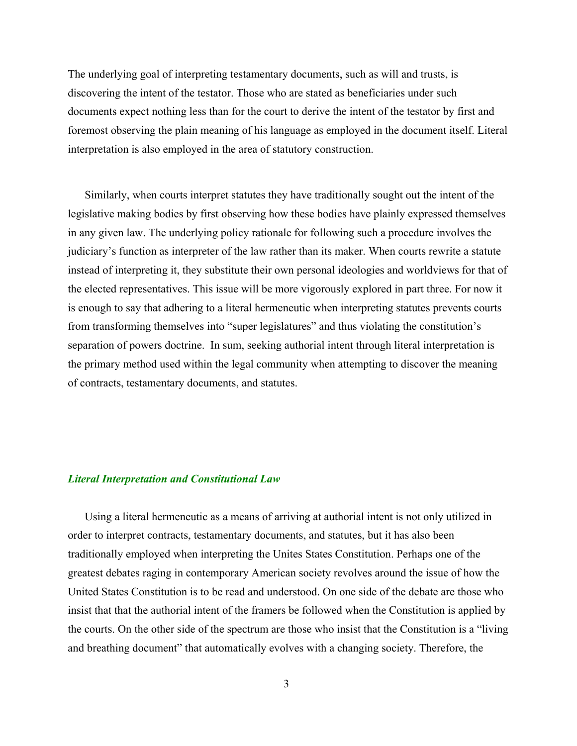The underlying goal of interpreting testamentary documents, such as will and trusts, is discovering the intent of the testator. Those who are stated as beneficiaries under such documents expect nothing less than for the court to derive the intent of the testator by first and foremost observing the plain meaning of his language as employed in the document itself. Literal interpretation is also employed in the area of statutory construction.

Similarly, when courts interpret statutes they have traditionally sought out the intent of the legislative making bodies by first observing how these bodies have plainly expressed themselves in any given law. The underlying policy rationale for following such a procedure involves the judiciary's function as interpreter of the law rather than its maker. When courts rewrite a statute instead of interpreting it, they substitute their own personal ideologies and worldviews for that of the elected representatives. This issue will be more vigorously explored in part three. For now it is enough to say that adhering to a literal hermeneutic when interpreting statutes prevents courts from transforming themselves into "super legislatures" and thus violating the constitution's separation of powers doctrine. In sum, seeking authorial intent through literal interpretation is the primary method used within the legal community when attempting to discover the meaning of contracts, testamentary documents, and statutes.

#### *Literal Interpretation and Constitutional Law*

Using a literal hermeneutic as a means of arriving at authorial intent is not only utilized in order to interpret contracts, testamentary documents, and statutes, but it has also been traditionally employed when interpreting the Unites States Constitution. Perhaps one of the greatest debates raging in contemporary American society revolves around the issue of how the United States Constitution is to be read and understood. On one side of the debate are those who insist that that the authorial intent of the framers be followed when the Constitution is applied by the courts. On the other side of the spectrum are those who insist that the Constitution is a "living and breathing document" that automatically evolves with a changing society. Therefore, the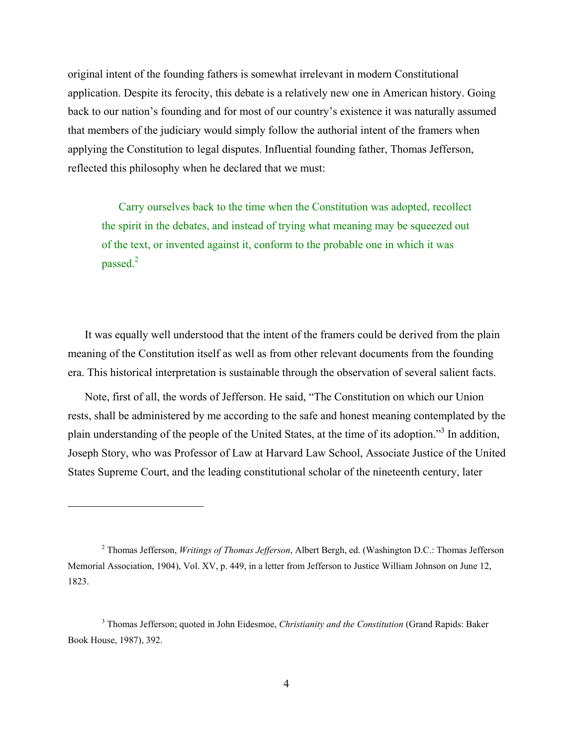original intent of the founding fathers is somewhat irrelevant in modern Constitutional application. Despite its ferocity, this debate is a relatively new one in American history. Going back to our nation's founding and for most of our country's existence it was naturally assumed that members of the judiciary would simply follow the authorial intent of the framers when applying the Constitution to legal disputes. Influential founding father, Thomas Jefferson, reflected this philosophy when he declared that we must:

Carry ourselves back to the time when the Constitution was adopted, recollect the spirit in the debates, and instead of trying what meaning may be squeezed out of the text, or invented against it, conform to the probable one in which it was passed.<sup>2</sup>

It was equally well understood that the intent of the framers could be derived from the plain meaning of the Constitution itself as well as from other relevant documents from the founding era. This historical interpretation is sustainable through the observation of several salient facts.

Note, first of all, the words of Jefferson. He said, "The Constitution on which our Union rests, shall be administered by me according to the safe and honest meaning contemplated by the plain understanding of the people of the United States, at the time of its adoption."<sup>3</sup> In addition, Joseph Story, who was Professor of Law at Harvard Law School, Associate Justice of the United States Supreme Court, and the leading constitutional scholar of the nineteenth century, later

<sup>2</sup> Thomas Jefferson, *Writings of Thomas Jefferson*, Albert Bergh, ed. (Washington D.C.: Thomas Jefferson Memorial Association, 1904), Vol. XV, p. 449, in a letter from Jefferson to Justice William Johnson on June 12, 1823.

<sup>3</sup> Thomas Jefferson; quoted in John Eidesmoe, *Christianity and the Constitution* (Grand Rapids: Baker Book House, 1987), 392.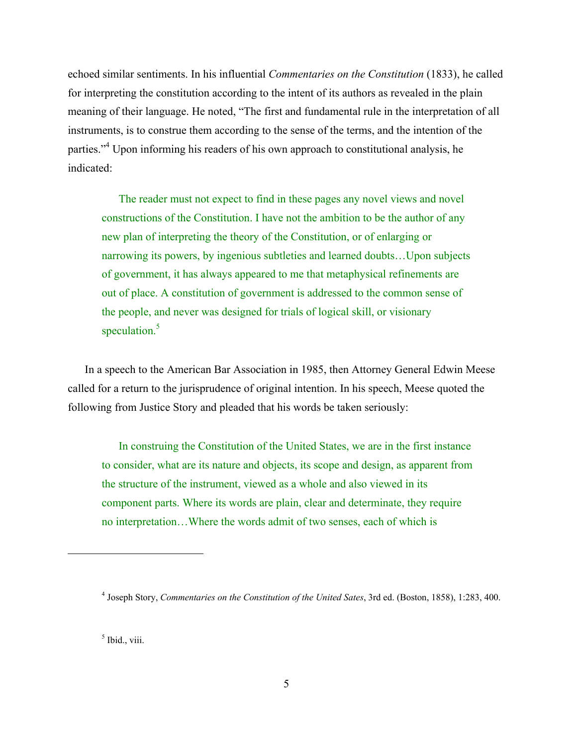echoed similar sentiments. In his influential *Commentaries on the Constitution* (1833), he called for interpreting the constitution according to the intent of its authors as revealed in the plain meaning of their language. He noted, "The first and fundamental rule in the interpretation of all instruments, is to construe them according to the sense of the terms, and the intention of the parties."<sup>4</sup> Upon informing his readers of his own approach to constitutional analysis, he indicated:

The reader must not expect to find in these pages any novel views and novel constructions of the Constitution. I have not the ambition to be the author of any new plan of interpreting the theory of the Constitution, or of enlarging or narrowing its powers, by ingenious subtleties and learned doubts…Upon subjects of government, it has always appeared to me that metaphysical refinements are out of place. A constitution of government is addressed to the common sense of the people, and never was designed for trials of logical skill, or visionary speculation.<sup>5</sup>

In a speech to the American Bar Association in 1985, then Attorney General Edwin Meese called for a return to the jurisprudence of original intention. In his speech, Meese quoted the following from Justice Story and pleaded that his words be taken seriously:

In construing the Constitution of the United States, we are in the first instance to consider, what are its nature and objects, its scope and design, as apparent from the structure of the instrument, viewed as a whole and also viewed in its component parts. Where its words are plain, clear and determinate, they require no interpretation…Where the words admit of two senses, each of which is

<sup>5</sup> Ibid., viii.

<sup>4</sup> Joseph Story, *Commentaries on the Constitution of the United Sates*, 3rd ed. (Boston, 1858), 1:283, 400.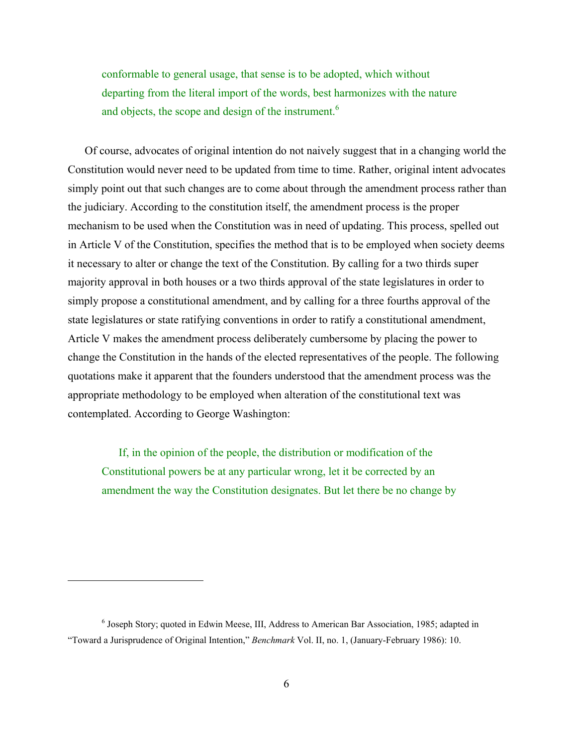conformable to general usage, that sense is to be adopted, which without departing from the literal import of the words, best harmonizes with the nature and objects, the scope and design of the instrument.<sup>6</sup>

Of course, advocates of original intention do not naively suggest that in a changing world the Constitution would never need to be updated from time to time. Rather, original intent advocates simply point out that such changes are to come about through the amendment process rather than the judiciary. According to the constitution itself, the amendment process is the proper mechanism to be used when the Constitution was in need of updating. This process, spelled out in Article V of the Constitution, specifies the method that is to be employed when society deems it necessary to alter or change the text of the Constitution. By calling for a two thirds super majority approval in both houses or a two thirds approval of the state legislatures in order to simply propose a constitutional amendment, and by calling for a three fourths approval of the state legislatures or state ratifying conventions in order to ratify a constitutional amendment, Article V makes the amendment process deliberately cumbersome by placing the power to change the Constitution in the hands of the elected representatives of the people. The following quotations make it apparent that the founders understood that the amendment process was the appropriate methodology to be employed when alteration of the constitutional text was contemplated. According to George Washington:

If, in the opinion of the people, the distribution or modification of the Constitutional powers be at any particular wrong, let it be corrected by an amendment the way the Constitution designates. But let there be no change by

<sup>&</sup>lt;sup>6</sup> Joseph Story; quoted in Edwin Meese, III, Address to American Bar Association, 1985; adapted in "Toward a Jurisprudence of Original Intention," *Benchmark* Vol. II, no. 1, (January-February 1986): 10.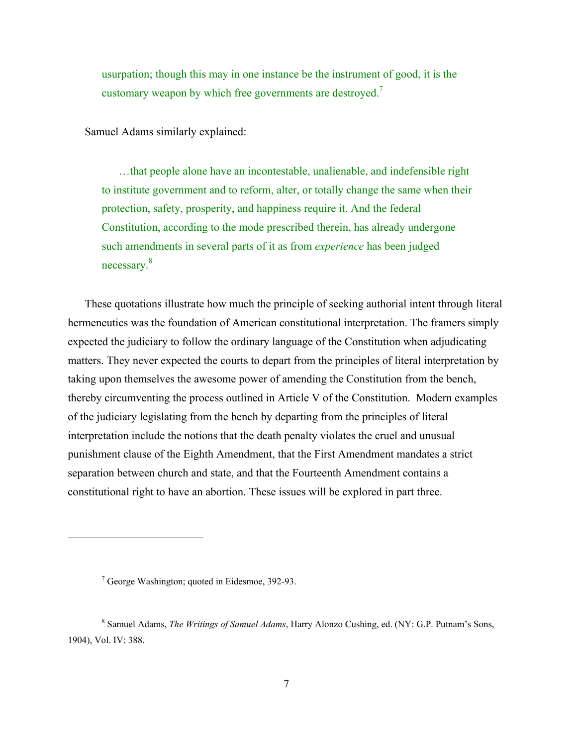usurpation; though this may in one instance be the instrument of good, it is the customary weapon by which free governments are destroyed.<sup>7</sup>

Samuel Adams similarly explained:

…that people alone have an incontestable, unalienable, and indefensible right to institute government and to reform, alter, or totally change the same when their protection, safety, prosperity, and happiness require it. And the federal Constitution, according to the mode prescribed therein, has already undergone such amendments in several parts of it as from *experience* has been judged necessary.8

These quotations illustrate how much the principle of seeking authorial intent through literal hermeneutics was the foundation of American constitutional interpretation. The framers simply expected the judiciary to follow the ordinary language of the Constitution when adjudicating matters. They never expected the courts to depart from the principles of literal interpretation by taking upon themselves the awesome power of amending the Constitution from the bench, thereby circumventing the process outlined in Article V of the Constitution. Modern examples of the judiciary legislating from the bench by departing from the principles of literal interpretation include the notions that the death penalty violates the cruel and unusual punishment clause of the Eighth Amendment, that the First Amendment mandates a strict separation between church and state, and that the Fourteenth Amendment contains a constitutional right to have an abortion. These issues will be explored in part three.

1

<sup>&</sup>lt;sup>7</sup> George Washington; quoted in Eidesmoe, 392-93.

<sup>8</sup> Samuel Adams, *The Writings of Samuel Adams*, Harry Alonzo Cushing, ed. (NY: G.P. Putnam's Sons, 1904), Vol. IV: 388.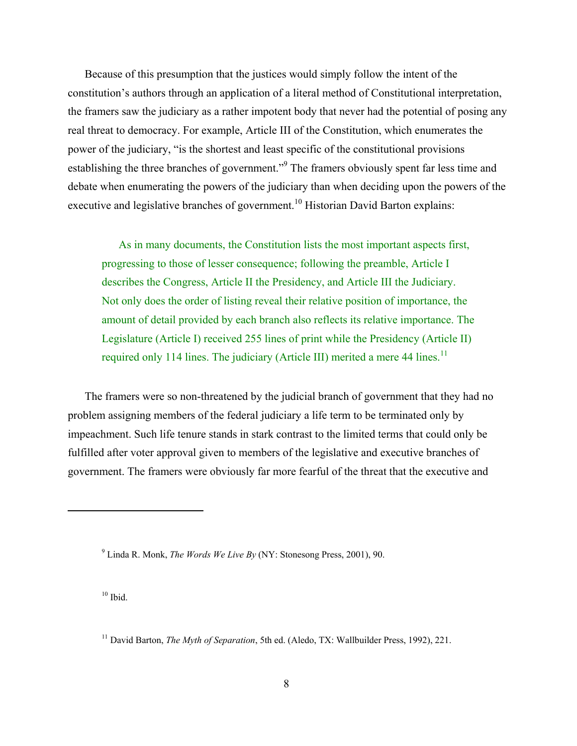Because of this presumption that the justices would simply follow the intent of the constitution's authors through an application of a literal method of Constitutional interpretation, the framers saw the judiciary as a rather impotent body that never had the potential of posing any real threat to democracy. For example, Article III of the Constitution, which enumerates the power of the judiciary, "is the shortest and least specific of the constitutional provisions establishing the three branches of government."<sup>9</sup> The framers obviously spent far less time and debate when enumerating the powers of the judiciary than when deciding upon the powers of the executive and legislative branches of government.<sup>10</sup> Historian David Barton explains:

As in many documents, the Constitution lists the most important aspects first, progressing to those of lesser consequence; following the preamble, Article I describes the Congress, Article II the Presidency, and Article III the Judiciary. Not only does the order of listing reveal their relative position of importance, the amount of detail provided by each branch also reflects its relative importance. The Legislature (Article I) received 255 lines of print while the Presidency (Article II) required only 114 lines. The judiciary (Article III) merited a mere 44 lines.<sup>11</sup>

The framers were so non-threatened by the judicial branch of government that they had no problem assigning members of the federal judiciary a life term to be terminated only by impeachment. Such life tenure stands in stark contrast to the limited terms that could only be fulfilled after voter approval given to members of the legislative and executive branches of government. The framers were obviously far more fearful of the threat that the executive and

 $10$  Ibid.

<sup>9</sup> Linda R. Monk, *The Words We Live By* (NY: Stonesong Press, 2001), 90.

<sup>11</sup> David Barton, *The Myth of Separation*, 5th ed. (Aledo, TX: Wallbuilder Press, 1992), 221.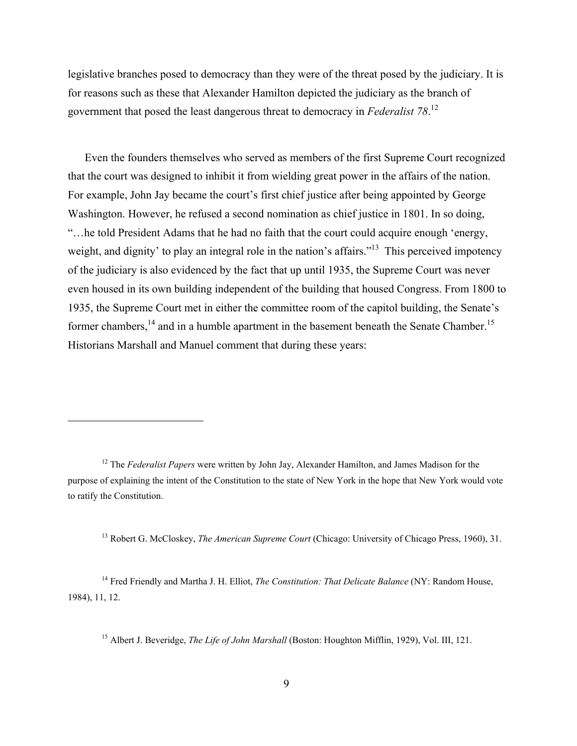legislative branches posed to democracy than they were of the threat posed by the judiciary. It is for reasons such as these that Alexander Hamilton depicted the judiciary as the branch of government that posed the least dangerous threat to democracy in *Federalist 78*. 12

Even the founders themselves who served as members of the first Supreme Court recognized that the court was designed to inhibit it from wielding great power in the affairs of the nation. For example, John Jay became the court's first chief justice after being appointed by George Washington. However, he refused a second nomination as chief justice in 1801. In so doing, "…he told President Adams that he had no faith that the court could acquire enough 'energy, weight, and dignity' to play an integral role in the nation's affairs."<sup>13</sup> This perceived impotency of the judiciary is also evidenced by the fact that up until 1935, the Supreme Court was never even housed in its own building independent of the building that housed Congress. From 1800 to 1935, the Supreme Court met in either the committee room of the capitol building, the Senate's former chambers, $^{14}$  and in a humble apartment in the basement beneath the Senate Chamber.<sup>15</sup> Historians Marshall and Manuel comment that during these years:

1

13 Robert G. McCloskey, *The American Supreme Court* (Chicago: University of Chicago Press, 1960), 31.

14 Fred Friendly and Martha J. H. Elliot, *The Constitution: That Delicate Balance* (NY: Random House, 1984), 11, 12.

<sup>15</sup> Albert J. Beveridge, *The Life of John Marshall* (Boston: Houghton Mifflin, 1929), Vol. III, 121.

<sup>12</sup> The *Federalist Papers* were written by John Jay, Alexander Hamilton, and James Madison for the purpose of explaining the intent of the Constitution to the state of New York in the hope that New York would vote to ratify the Constitution.